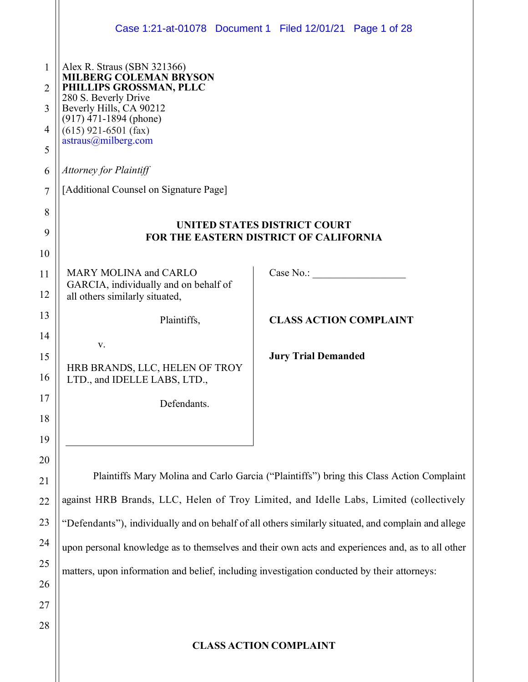|                                                                           |                                                                                                                                                                                                                                                                                             | Case 1:21-at-01078 Document 1 Filed 12/01/21 Page 1 of 28                                           |
|---------------------------------------------------------------------------|---------------------------------------------------------------------------------------------------------------------------------------------------------------------------------------------------------------------------------------------------------------------------------------------|-----------------------------------------------------------------------------------------------------|
| $\mathbf{1}$<br>$\overline{2}$<br>3<br>4<br>5<br>6<br>$\overline{7}$<br>8 | Alex R. Straus (SBN 321366)<br>MILBERG CÒLEMAN BRYSON<br>PHILLIPS GROSSMAN, PLLC<br>280 S. Beverly Drive<br>Beverly Hills, CA 90212<br>$(917)$ 471-1894 (phone)<br>$(615)$ 921-6501 (fax)<br>astraus@milberg.com<br><b>Attorney for Plaintiff</b><br>[Additional Counsel on Signature Page] | UNITED STATES DISTRICT COURT                                                                        |
| 9                                                                         |                                                                                                                                                                                                                                                                                             | FOR THE EASTERN DISTRICT OF CALIFORNIA                                                              |
| 10<br>11<br>12                                                            | <b>MARY MOLINA and CARLO</b><br>GARCIA, individually and on behalf of<br>all others similarly situated,                                                                                                                                                                                     | Case No.: $\qquad \qquad$                                                                           |
| 13                                                                        | Plaintiffs,                                                                                                                                                                                                                                                                                 | <b>CLASS ACTION COMPLAINT</b>                                                                       |
| 14<br>15<br>16<br>17                                                      | V.<br>HRB BRANDS, LLC, HELEN OF TROY<br>LTD., and IDELLE LABS, LTD.,<br>Defendants.                                                                                                                                                                                                         | <b>Jury Trial Demanded</b>                                                                          |
| 18<br>19                                                                  |                                                                                                                                                                                                                                                                                             |                                                                                                     |
| 20                                                                        |                                                                                                                                                                                                                                                                                             |                                                                                                     |
| 21                                                                        |                                                                                                                                                                                                                                                                                             | Plaintiffs Mary Molina and Carlo Garcia ("Plaintiffs") bring this Class Action Complaint            |
| 22                                                                        |                                                                                                                                                                                                                                                                                             | against HRB Brands, LLC, Helen of Troy Limited, and Idelle Labs, Limited (collectively              |
| 23                                                                        |                                                                                                                                                                                                                                                                                             | "Defendants"), individually and on behalf of all others similarly situated, and complain and allege |
| 24                                                                        |                                                                                                                                                                                                                                                                                             | upon personal knowledge as to themselves and their own acts and experiences and, as to all other    |
| 25                                                                        | matters, upon information and belief, including investigation conducted by their attorneys:                                                                                                                                                                                                 |                                                                                                     |
| 26                                                                        |                                                                                                                                                                                                                                                                                             |                                                                                                     |
| 27                                                                        |                                                                                                                                                                                                                                                                                             |                                                                                                     |
| 28                                                                        |                                                                                                                                                                                                                                                                                             |                                                                                                     |
|                                                                           |                                                                                                                                                                                                                                                                                             | <b>CLASS ACTION COMPLAINT</b>                                                                       |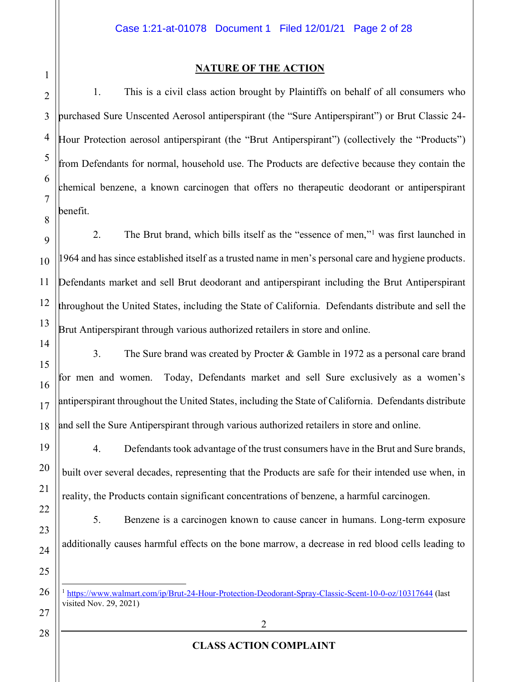# 1 2

3

4

5

6

7

8

### **NATURE OF THE ACTION**

1. This is a civil class action brought by Plaintiffs on behalf of all consumers who purchased Sure Unscented Aerosol antiperspirant (the "Sure Antiperspirant") or Brut Classic 24-Hour Protection aerosol antiperspirant (the "Brut Antiperspirant") (collectively the "Products") from Defendants for normal, household use. The Products are defective because they contain the chemical benzene, a known carcinogen that offers no therapeutic deodorant or antiperspirant benefit.

9 2. The Brut brand, which bills itself as the "essence of men," was first launched in 964 and has since established itself as a trusted name in men's personal care and hygiene products. Defendants market and sell Brut deodorant and antiperspirant including the Brut Antiperspirant throughout the United States, including the State of California. Defendants distribute and sell the Brut Antiperspirant through various authorized retailers in store and online.

3. The Sure brand was created by Procter & Gamble in 1972 as a personal care brand for men and women. Today, Defendants market and sell Sure exclusively as a women's antiperspirant throughout the United States, including the State of California. Defendants distribute and sell the Sure Antiperspirant through various authorized retailers in store and online.

4. Defendants took advantage of the trust consumers have in the Brut and Sure brands, built over several decades, representing that the Products are safe for their intended use when, in reality, the Products contain significant concentrations of benzene, a harmful carcinogen.

5. Benzene is a carcinogen known to cause cancer in humans. Long-term exposure additionally causes harmful effects on the bone marrow, a decrease in red blood cells leading to

<sup>1</sup> <https://www.walmart.com/ip/Brut-24-Hour-Protection-Deodorant-Spray-Classic-Scent-10-0-oz/10317644> (last visited Nov. 29, 2021)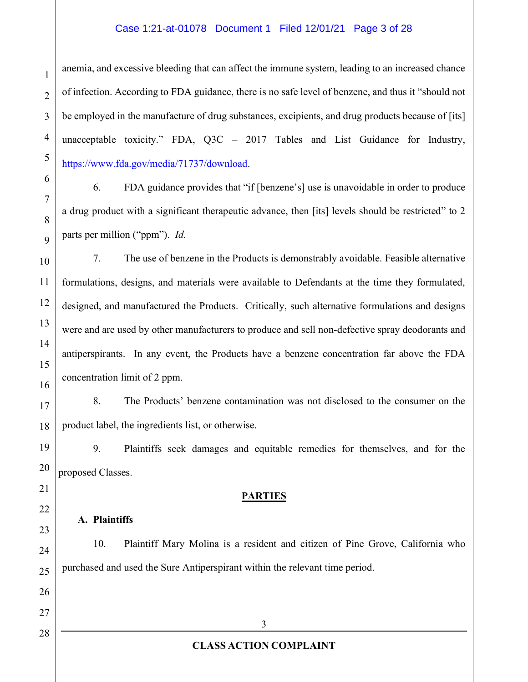#### Case 1:21-at-01078 Document 1 Filed 12/01/21 Page 3 of 28

anemia, and excessive bleeding that can affect the immune system, leading to an increased chance of infection. According to FDA guidance, there is no safe level of benzene, and thus it "should not be employed in the manufacture of drug substances, excipients, and drug products because of [its] unacceptable toxicity." FDA,  $Q3C - 2017$  Tables and List Guidance for Industry, [https://www.fda.gov/media/71737/download.](https://www.fda.gov/media/71737/download)

6. FDA guidance provides that "if [benzene's] use is unavoidable in order to produce a drug product with a significant therapeutic advance, then [its] levels should be restricted" to 2 parts per million ("ppm"). *Id.* 

7. The use of benzene in the Products is demonstrably avoidable. Feasible alternative formulations, designs, and materials were available to Defendants at the time they formulated, designed, and manufactured the Products. Critically, such alternative formulations and designs were and are used by other manufacturers to produce and sell non-defective spray deodorants and antiperspirants. In any event, the Products have a benzene concentration far above the FDA concentration limit of 2 ppm.

8. The Products' benzene contamination was not disclosed to the consumer on the product label, the ingredients list, or otherwise.

9. Plaintiffs seek damages and equitable remedies for themselves, and for the proposed Classes.

#### **PARTIES**

#### **A. Plaintiffs**

10. Plaintiff Mary Molina is a resident and citizen of Pine Grove, California who purchased and used the Sure Antiperspirant within the relevant time period.

1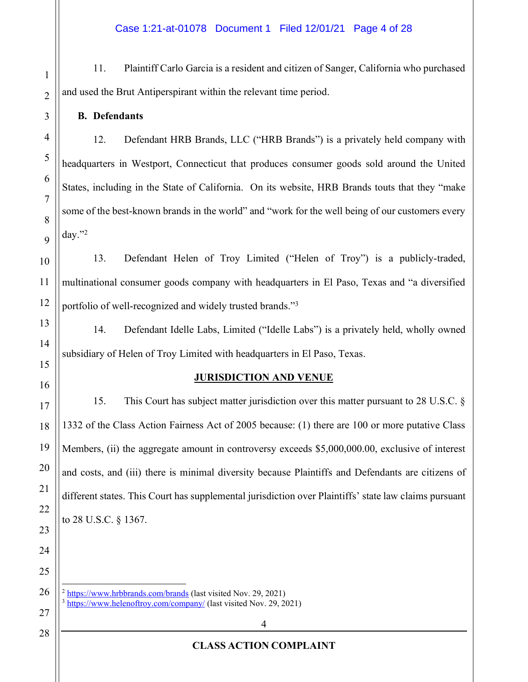11. Plaintiff Carlo Garcia is a resident and citizen of Sanger, California who purchased and used the Brut Antiperspirant within the relevant time period.

**B. Defendants**

12. Defendant HRB Brands, LLC ("HRB Brands") is a privately held company with headquarters in Westport, Connecticut that produces consumer goods sold around the United States, including in the State of California. On its website, HRB Brands touts that they "make some of the best-known brands in the world" and "work for the well being of our customers every day." $^{2}$ 

13. Defendant Helen of Troy Limited ("Helen of Troy") is a publicly-traded, multinational consumer goods company with headquarters in El Paso, Texas and "a diversified portfolio of well-recognized and widely trusted brands."<sup>3</sup>

14. Defendant Idelle Labs, Limited ("Idelle Labs") is a privately held, wholly owned subsidiary of Helen of Troy Limited with headquarters in El Paso, Texas.

### **JURISDICTION AND VENUE**

15. This Court has subject matter jurisdiction over this matter pursuant to 28 U.S.C. § 1332 of the Class Action Fairness Act of 2005 because: (1) there are 100 or more putative Class Members, (ii) the aggregate amount in controversy exceeds \$5,000,000.00, exclusive of interest and costs, and (iii) there is minimal diversity because Plaintiffs and Defendants are citizens of different states. This Court has supplemental jurisdiction over Plaintiffs' state law claims pursuant to 28 U.S.C. § 1367.

<sup>2</sup> <https://www.hrbbrands.com/brands> (last visited Nov. 29, 2021) <sup>3</sup> <https://www.helenoftroy.com/company/> (last visited Nov. 29, 2021)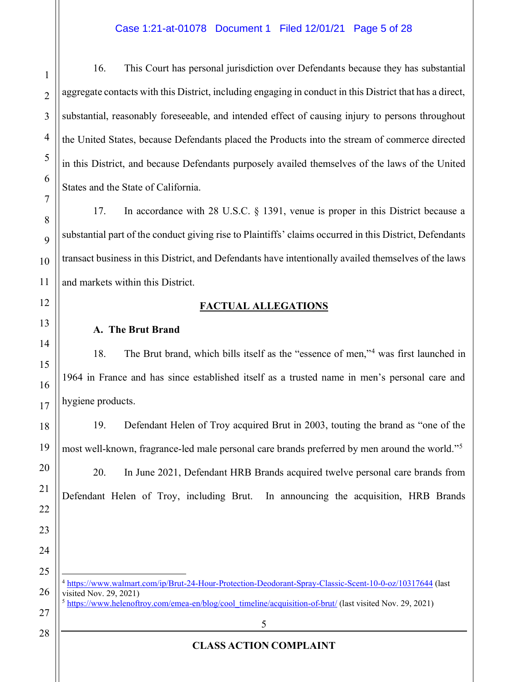#### Case 1:21-at-01078 Document 1 Filed 12/01/21 Page 5 of 28

16. This Court has personal jurisdiction over Defendants because they has substantial aggregate contacts with this District, including engaging in conduct in this District that has a direct, substantial, reasonably foreseeable, and intended effect of causing injury to persons throughout the United States, because Defendants placed the Products into the stream of commerce directed in this District, and because Defendants purposely availed themselves of the laws of the United States and the State of California.

17. In accordance with 28 U.S.C. § 1391, venue is proper in this District because a substantial part of the conduct giving rise to Plaintiffs' claims occurred in this District, Defendants transact business in this District, and Defendants have intentionally availed themselves of the laws and markets within this District.

## **FACTUAL ALLEGATIONS**

### **A. The Brut Brand**

1

2

3

4

5

6

7

8

9

10

11

12

13

14

15

16

17

18

19

20

21

22

23

24

25

26

27

28

18. The Brut brand, which bills itself as the "essence of men,"<sup>4</sup> was first launched in 1964 in France and has since established itself as a trusted name in men's personal care and hygiene products.

19. Defendant Helen of Troy acquired Brut in 2003, touting the brand as "one of the most well-known, fragrance-led male personal care brands preferred by men around the world."<sup>5</sup>

20. In June 2021, Defendant HRB Brands acquired twelve personal care brands from Defendant Helen of Troy, including Brut. In announcing the acquisition, HRB Brands

<sup>4</sup> <https://www.walmart.com/ip/Brut-24-Hour-Protection-Deodorant-Spray-Classic-Scent-10-0-oz/10317644> (last visited Nov. 29, 2021)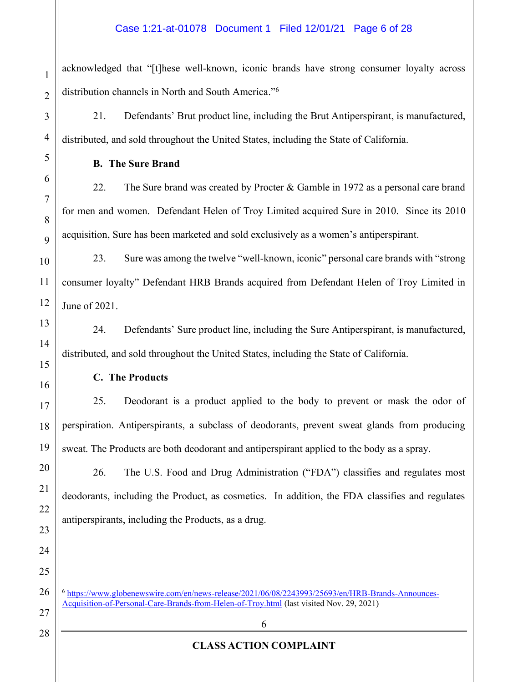#### Case 1:21-at-01078 Document 1 Filed 12/01/21 Page 6 of 28

acknowledged that "[t]hese well-known, iconic brands have strong consumer loyalty across distribution channels in North and South America."<sup>6</sup>

21. Defendants' Brut product line, including the Brut Antiperspirant, is manufactured, distributed, and sold throughout the United States, including the State of California.

**B. The Sure Brand**

22. The Sure brand was created by Procter & Gamble in 1972 as a personal care brand for men and women. Defendant Helen of Troy Limited acquired Sure in 2010. Since its 2010 acquisition, Sure has been marketed and sold exclusively as a women's antiperspirant.

23. Sure was among the twelve "well-known, iconic" personal care brands with "strong consumer loyalty´ Defendant HRB Brands acquired from Defendant Helen of Troy Limited in June of 2021.

24. Defendants' Sure product line, including the Sure Antiperspirant, is manufactured, distributed, and sold throughout the United States, including the State of California.

**C. The Products**

25. Deodorant is a product applied to the body to prevent or mask the odor of perspiration. Antiperspirants, a subclass of deodorants, prevent sweat glands from producing sweat. The Products are both deodorant and antiperspirant applied to the body as a spray.

26. The U.S. Food and Drug Administration ("FDA") classifies and regulates most deodorants, including the Product, as cosmetics. In addition, the FDA classifies and regulates antiperspirants, including the Products, as a drug.

<sup>6</sup> [https://www.globenewswire.com/en/news-release/2021/06/08/2243993/25693/en/HRB-Brands-Announces-](https://www.globenewswire.com/en/news-release/2021/06/08/2243993/25693/en/HRB-Brands-Announces-Acquisition-of-Personal-Care-Brands-from-Helen-of-Troy.html)[Acquisition-of-Personal-Care-Brands-from-Helen-of-Troy.html](https://www.globenewswire.com/en/news-release/2021/06/08/2243993/25693/en/HRB-Brands-Announces-Acquisition-of-Personal-Care-Brands-from-Helen-of-Troy.html) (last visited Nov. 29, 2021)

6

1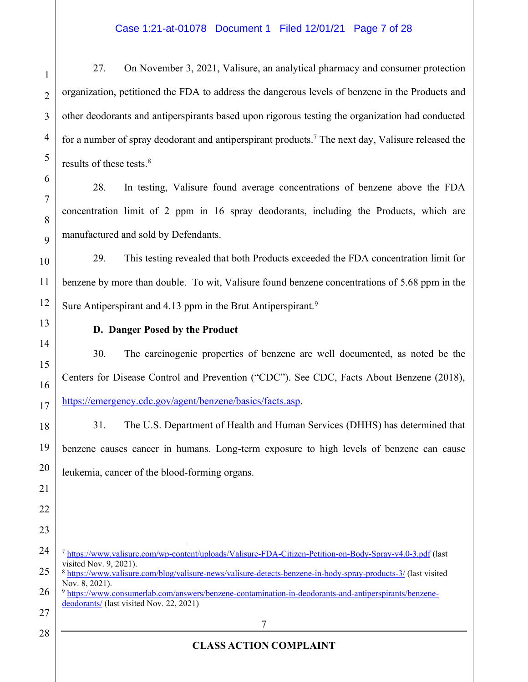27. On November 3, 2021, Valisure, an analytical pharmacy and consumer protection organization, petitioned the FDA to address the dangerous levels of benzene in the Products and other deodorants and antiperspirants based upon rigorous testing the organization had conducted for a number of spray deodorant and antiperspirant products.<sup>7</sup> The next day, Valisure released the results of these tests.8

28. In testing, Valisure found average concentrations of benzene above the FDA concentration limit of 2 ppm in 16 spray deodorants, including the Products, which are manufactured and sold by Defendants.

29. This testing revealed that both Products exceeded the FDA concentration limit for benzene by more than double. To wit, Valisure found benzene concentrations of 5.68 ppm in the Sure Antiperspirant and 4.13 ppm in the Brut Antiperspirant.<sup>9</sup>

**D. Danger Posed by the Product**

30. The carcinogenic properties of benzene are well documented, as noted be the Centers for Disease Control and Prevention ("CDC"). See CDC, Facts About Benzene (2018), [https://emergency.cdc.gov/agent/benzene/basics/facts.asp.](https://emergency.cdc.gov/agent/benzene/basics/facts.asp)

31. The U.S. Department of Health and Human Services (DHHS) has determined that benzene causes cancer in humans. Long-term exposure to high levels of benzene can cause leukemia, cancer of the blood-forming organs.

<sup>7</sup> <https://www.valisure.com/wp-content/uploads/Valisure-FDA-Citizen-Petition-on-Body-Spray-v4.0-3.pdf> (last visited Nov. 9, 2021).

<sup>9</sup> [https://www.consumerlab.com/answers/benzene-contamination-in-deodorants-and-antiperspirants/benzene](https://www.consumerlab.com/answers/benzene-contamination-in-deodorants-and-antiperspirants/benzene-deodorants/)[deodorants/](https://www.consumerlab.com/answers/benzene-contamination-in-deodorants-and-antiperspirants/benzene-deodorants/) (last visited Nov. 22, 2021)

<sup>8</sup> <https://www.valisure.com/blog/valisure-news/valisure-detects-benzene-in-body-spray-products-3/> (last visited Nov. 8, 2021).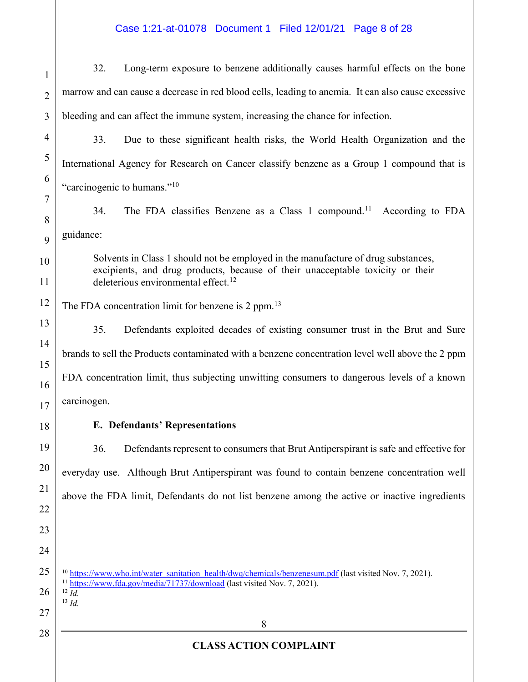# Case 1:21-at-01078 Document 1 Filed 12/01/21 Page 8 of 28

| $\mathbf{1}$   | Long-term exposure to benzene additionally causes harmful effects on the bone<br>32.                                                                                                         |
|----------------|----------------------------------------------------------------------------------------------------------------------------------------------------------------------------------------------|
| $\overline{2}$ | marrow and can cause a decrease in red blood cells, leading to anemia. It can also cause excessive                                                                                           |
| 3              | bleeding and can affect the immune system, increasing the chance for infection.                                                                                                              |
| 4              | 33.<br>Due to these significant health risks, the World Health Organization and the                                                                                                          |
| 5              | International Agency for Research on Cancer classify benzene as a Group 1 compound that is                                                                                                   |
| 6              | "carcinogenic to humans." <sup>10</sup>                                                                                                                                                      |
| 7              | The FDA classifies Benzene as a Class 1 compound. <sup>11</sup><br>34.<br>According to FDA                                                                                                   |
| 8<br>9         | guidance:                                                                                                                                                                                    |
| 10             | Solvents in Class 1 should not be employed in the manufacture of drug substances,                                                                                                            |
| 11             | excipients, and drug products, because of their unacceptable toxicity or their<br>deleterious environmental effect. <sup>12</sup>                                                            |
| 12             | The FDA concentration limit for benzene is 2 ppm. <sup>13</sup>                                                                                                                              |
| 13             | Defendants exploited decades of existing consumer trust in the Brut and Sure<br>35.                                                                                                          |
| 14             | brands to sell the Products contaminated with a benzene concentration level well above the 2 ppm                                                                                             |
| 15<br>16       | FDA concentration limit, thus subjecting unwitting consumers to dangerous levels of a known                                                                                                  |
| 17             | carcinogen.                                                                                                                                                                                  |
| 18             | <b>E. Defendants' Representations</b>                                                                                                                                                        |
| 19             | 36.<br>Defendants represent to consumers that Brut Antiperspirant is safe and effective for                                                                                                  |
| 20             | everyday use. Although Brut Antiperspirant was found to contain benzene concentration well                                                                                                   |
| 21             | above the FDA limit, Defendants do not list benzene among the active or inactive ingredients                                                                                                 |
| 22             |                                                                                                                                                                                              |
| 23             |                                                                                                                                                                                              |
| 24             |                                                                                                                                                                                              |
| 25             | <sup>10</sup> https://www.who.int/water_sanitation_health/dwq/chemicals/benzenesum.pdf (last visited Nov. 7, 2021).<br>https://www.fda.gov/media/71737/download (last visited Nov. 7, 2021). |
| 26<br>27       | $^{12}$ Id.<br>$^{13}$ Id.                                                                                                                                                                   |
| 28             | 8                                                                                                                                                                                            |
|                | <b>CLASS ACTION COMPLAINT</b>                                                                                                                                                                |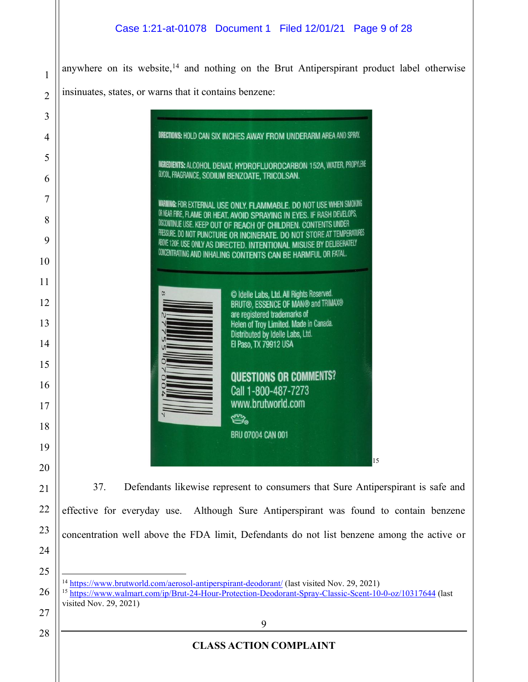anywhere on its website,<sup>14</sup> and nothing on the Brut Antiperspirant product label otherwise insinuates, states, or warns that it contains benzene:

| 3              |                                                                                                                                                                                                                                 |
|----------------|---------------------------------------------------------------------------------------------------------------------------------------------------------------------------------------------------------------------------------|
| $\overline{4}$ | DIRECTIONS: HOLD CAN SIX INCHES AWAY FROM UNDERARM AREA AND SPRAY.                                                                                                                                                              |
| 5              | INGREDIENTS: ALCOHOL DENAT, HYDROFLUOROCARBON 152A, WATER, PROPYLENE                                                                                                                                                            |
| 6              | GLYCOL, FRAGRANCE, SODIUM BENZOATE, TRICOLSAN.                                                                                                                                                                                  |
| 7              | <b>WARNING: FOR EXTERNAL USE ONLY. FLAMMABLE. DO NOT USE WHEN SMOKING</b>                                                                                                                                                       |
| 8              | OR NEAR FIRE, FLAME OR HEAT. AVOID SPRAYING IN EYES. IF RASH DEVELOPS,<br>DISCONTINUE USE. KEEP OUT OF REACH OF CHILDREN. CONTENTS UNDER                                                                                        |
| 9              | PRESSURE. DO NOT PUNCTURE OR INCINERATE. DO NOT STORE AT TEMPERATURES<br>ABOVE 120F. USE ONLY AS DIRECTED. INTENTIONAL MISUSE BY DELIBERATELY                                                                                   |
| 10             | <b>CONCENTRATING AND INHALING CONTENTS CAN BE HARMFUL OR FATAL.</b>                                                                                                                                                             |
| 11             |                                                                                                                                                                                                                                 |
| 12             | © Idelle Labs, Ltd. All Rights Reserved.<br>BRUT®, ESSENCE OF MAN® and TRIMAX®                                                                                                                                                  |
| 13             | are registered trademarks of<br>Helen of Troy Limited. Made in Canada.                                                                                                                                                          |
| 14             | Distributed by Idelle Labs, Ltd.<br>El Paso, TX 79912 USA                                                                                                                                                                       |
| 15             |                                                                                                                                                                                                                                 |
| 16             | <b>QUESTIONS OR COMMENTS?</b><br>Call 1-800-487-7273                                                                                                                                                                            |
| 17             | www.brutworld.com                                                                                                                                                                                                               |
| 18             | <b>Compary</b><br><b>BRU 07004 CAN 001</b>                                                                                                                                                                                      |
| 19             |                                                                                                                                                                                                                                 |
| 20             | 15                                                                                                                                                                                                                              |
| 21             | 37.<br>Defendants likewise represent to consumers that Sure Antiperspirant is safe and                                                                                                                                          |
| 22             | effective for everyday use. Although Sure Antiperspirant was found to contain benzene                                                                                                                                           |
| 23             | concentration well above the FDA limit, Defendants do not list benzene among the active or                                                                                                                                      |
| 24             |                                                                                                                                                                                                                                 |
| 25             |                                                                                                                                                                                                                                 |
| 26             | <sup>14</sup> https://www.brutworld.com/aerosol-antiperspirant-deodorant/ (last visited Nov. 29, 2021)<br><sup>15</sup> https://www.walmart.com/ip/Brut-24-Hour-Protection-Deodorant-Spray-Classic-Scent-10-0-oz/10317644 (last |
| 27             | visited Nov. 29, 2021)                                                                                                                                                                                                          |
| 28             | 9                                                                                                                                                                                                                               |
|                | <b>CLASS ACTION COMPLAINT</b>                                                                                                                                                                                                   |
|                |                                                                                                                                                                                                                                 |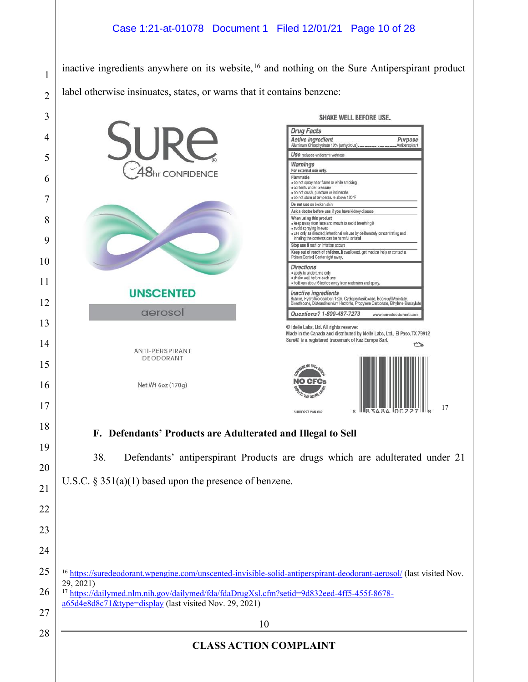#### Case 1:21-at-01078 Document 1 Filed 12/01/21 Page 10 of 28

inactive ingredients anywhere on its website, and nothing on the Sure Antiperspirant product label otherwise insinuates, states, or warns that it contains benzene:

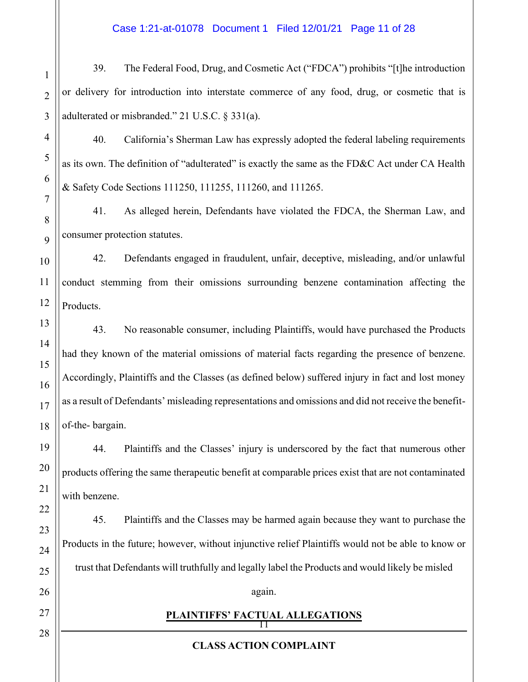#### Case 1:21-at-01078 Document 1 Filed 12/01/21 Page 11 of 28

39. The Federal Food, Drug, and Cosmetic Act ("FDCA") prohibits "[t]he introduction or delivery for introduction into interstate commerce of any food, drug, or cosmetic that is adulterated or misbranded." 21 U.S.C.  $\S 331(a)$ .

40. California's Sherman Law has expressly adopted the federal labeling requirements as its own. The definition of "adulterated" is exactly the same as the FD&C Act under CA Health & Safety Code Sections 111250, 111255, 111260, and 111265.

41. As alleged herein, Defendants have violated the FDCA, the Sherman Law, and consumer protection statutes.

42. Defendants engaged in fraudulent, unfair, deceptive, misleading, and/or unlawful conduct stemming from their omissions surrounding benzene contamination affecting the Products.

43. No reasonable consumer, including Plaintiffs, would have purchased the Products had they known of the material omissions of material facts regarding the presence of benzene. Accordingly, Plaintiffs and the Classes (as defined below) suffered injury in fact and lost money as a result of Defendants' misleading representations and omissions and did not receive the benefitof-the- bargain.

44. Plaintiffs and the Classes' injury is underscored by the fact that numerous other products offering the same therapeutic benefit at comparable prices exist that are not contaminated with benzene.

45. Plaintiffs and the Classes may be harmed again because they want to purchase the Products in the future; however, without injunctive relief Plaintiffs would not be able to know or trust that Defendants will truthfully and legally label the Products and would likely be misled

#### again.

#### $\prod$ **PLAINTIFFS' FACTUAL ALLEGATIONS**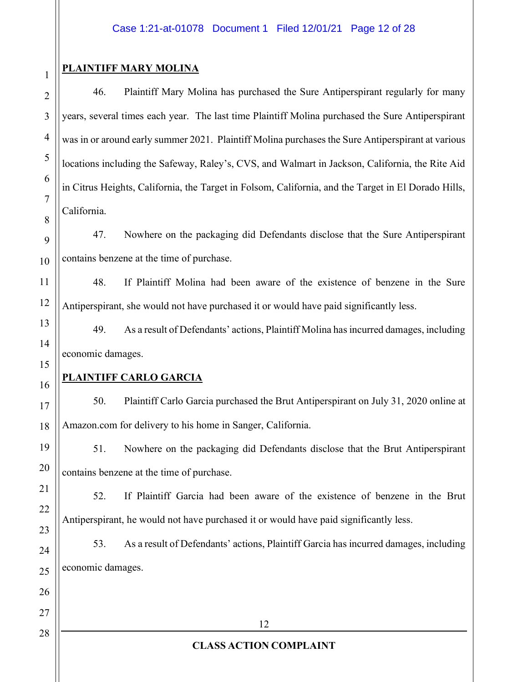## **PLAINTIFF MARY MOLINA**

46. Plaintiff Mary Molina has purchased the Sure Antiperspirant regularly for many years, several times each year. The last time Plaintiff Molina purchased the Sure Antiperspirant was in or around early summer 2021. Plaintiff Molina purchases the Sure Antiperspirant at various locations including the Safeway, Raley's, CVS, and Walmart in Jackson, California, the Rite Aid in Citrus Heights, California, the Target in Folsom, California, and the Target in El Dorado Hills, California.

47. Nowhere on the packaging did Defendants disclose that the Sure Antiperspirant contains benzene at the time of purchase.

48. If Plaintiff Molina had been aware of the existence of benzene in the Sure Antiperspirant, she would not have purchased it or would have paid significantly less.

49. As a result of Defendants' actions, Plaintiff Molina has incurred damages, including economic damages.

## **PLAINTIFF CARLO GARCIA**

50. Plaintiff Carlo Garcia purchased the Brut Antiperspirant on July 31, 2020 online at Amazon.com for delivery to his home in Sanger, California.

51. Nowhere on the packaging did Defendants disclose that the Brut Antiperspirant contains benzene at the time of purchase.

52. If Plaintiff Garcia had been aware of the existence of benzene in the Brut Antiperspirant, he would not have purchased it or would have paid significantly less.

53. As a result of Defendants' actions, Plaintiff Garcia has incurred damages, including economic damages.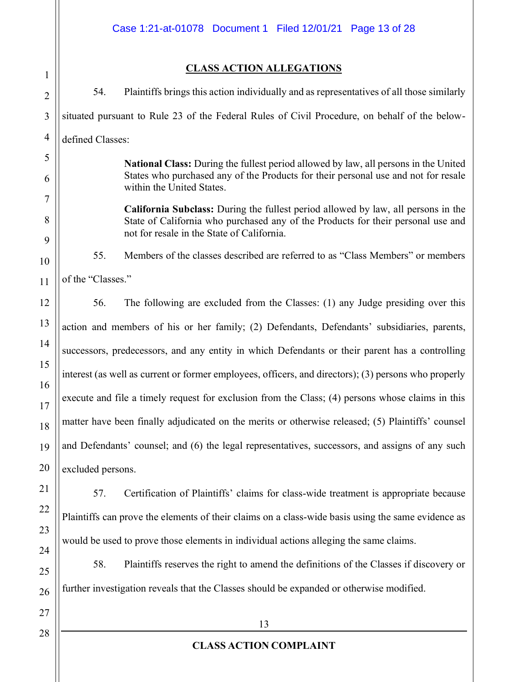### **CLASS ACTION ALLEGATIONS**

1 2 3 4 5 6 7 8 9 10 11 12 13 14 15 16 17 18 19 20 21 54. Plaintiffs brings this action individually and as representatives of all those similarly situated pursuant to Rule 23 of the Federal Rules of Civil Procedure, on behalf of the belowdefined Classes: **National Class:** During the fullest period allowed by law, all persons in the United States who purchased any of the Products for their personal use and not for resale within the United States. **California Subclass:** During the fullest period allowed by law, all persons in the State of California who purchased any of the Products for their personal use and not for resale in the State of California. 55. Members of the classes described are referred to as "Class Members" or members of the "Classes." 56. The following are excluded from the Classes: (1) any Judge presiding over this action and members of his or her family; (2) Defendants, Defendants' subsidiaries, parents, successors, predecessors, and any entity in which Defendants or their parent has a controlling interest (as well as current or former employees, officers, and directors); (3) persons who properly execute and file a timely request for exclusion from the Class; (4) persons whose claims in this matter have been finally adjudicated on the merits or otherwise released; (5) Plaintiffs' counsel and Defendants' counsel; and (6) the legal representatives, successors, and assigns of any such excluded persons.

57. Certification of Plaintiffs' claims for class-wide treatment is appropriate because Plaintiffs can prove the elements of their claims on a class-wide basis using the same evidence as would be used to prove those elements in individual actions alleging the same claims.

58. Plaintiffs reserves the right to amend the definitions of the Classes if discovery or further investigation reveals that the Classes should be expanded or otherwise modified.

27 28

22

23

24

25

26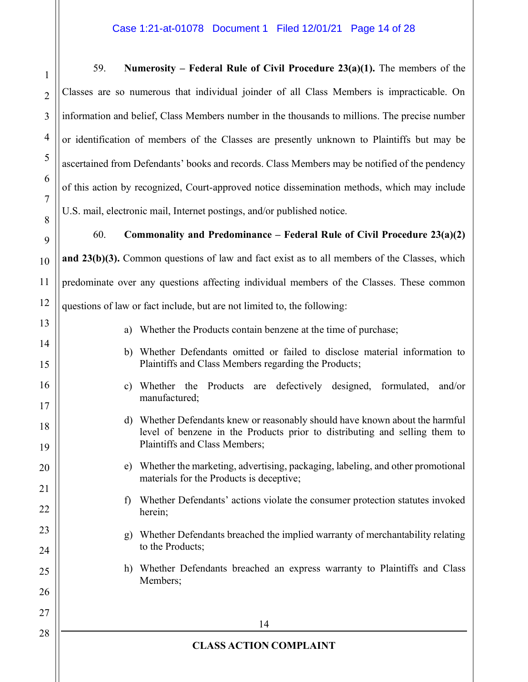#### Case 1:21-at-01078 Document 1 Filed 12/01/21 Page 14 of 28

59. **Numerosity – Federal Rule of Civil Procedure**  $23(a)(1)$ **.** The members of the Classes are so numerous that individual joinder of all Class Members is impracticable. On information and belief, Class Members number in the thousands to millions. The precise number or identification of members of the Classes are presently unknown to Plaintiffs but may be ascertained from Defendants' books and records. Class Members may be notified of the pendency of this action by recognized, Court-approved notice dissemination methods, which may include U.S. mail, electronic mail, Internet postings, and/or published notice.

60. **Commonality and Predominance ± Federal Rule of Civil Procedure 23(a)(2) and 23(b)(3).** Common questions of law and fact exist as to all members of the Classes, which predominate over any questions affecting individual members of the Classes. These common questions of law or fact include, but are not limited to, the following:

- a) Whether the Products contain benzene at the time of purchase;
- b) Whether Defendants omitted or failed to disclose material information to Plaintiffs and Class Members regarding the Products;
- c) Whether the Products are defectively designed, formulated, and/or manufactured;
- d) Whether Defendants knew or reasonably should have known about the harmful level of benzene in the Products prior to distributing and selling them to Plaintiffs and Class Members;
- e) Whether the marketing, advertising, packaging, labeling, and other promotional materials for the Products is deceptive;
	- f) Whether Defendants' actions violate the consumer protection statutes invoked herein;
		- g) Whether Defendants breached the implied warranty of merchantability relating to the Products;
			- h) Whether Defendants breached an express warranty to Plaintiffs and Class Members;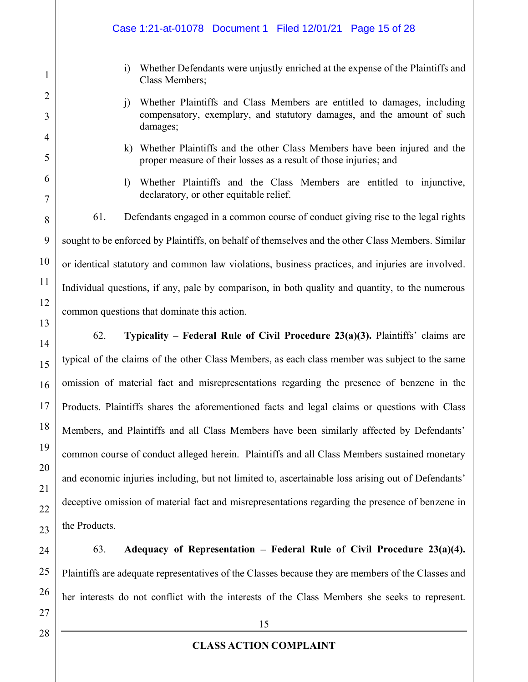i) Whether Defendants were unjustly enriched at the expense of the Plaintiffs and Class Members; j) Whether Plaintiffs and Class Members are entitled to damages, including compensatory, exemplary, and statutory damages, and the amount of such damages; k) Whether Plaintiffs and the other Class Members have been injured and the proper measure of their losses as a result of those injuries; and l) Whether Plaintiffs and the Class Members are entitled to injunctive, declaratory, or other equitable relief. 61. Defendants engaged in a common course of conduct giving rise to the legal rights sought to be enforced by Plaintiffs, on behalf of themselves and the other Class Members. Similar or identical statutory and common law violations, business practices, and injuries are involved. Individual questions, if any, pale by comparison, in both quality and quantity, to the numerous common questions that dominate this action. **62. Typicality – Federal Rule of Civil Procedure 23(a)(3).** Plaintiffs' claims are typical of the claims of the other Class Members, as each class member was subject to the same omission of material fact and misrepresentations regarding the presence of benzene in the Products. Plaintiffs shares the aforementioned facts and legal claims or questions with Class Members, and Plaintiffs and all Class Members have been similarly affected by Defendants' common course of conduct alleged herein. Plaintiffs and all Class Members sustained monetary and economic injuries including, but not limited to, ascertainable loss arising out of Defendants' deceptive omission of material fact and misrepresentations regarding the presence of benzene in the Products. Case 1:21-at-01078 Document 1 Filed 12/01/21 Page 15 of 28

63. **Adequacy of Representation ± Federal Rule of Civil Procedure 23(a)(4).** Plaintiffs are adequate representatives of the Classes because they are members of the Classes and her interests do not conflict with the interests of the Class Members she seeks to represent.

1

2

3

4

5

6

7

8

9

10

11

12

13

14

15

16

17

18

19

20

21

22

23

24

25

26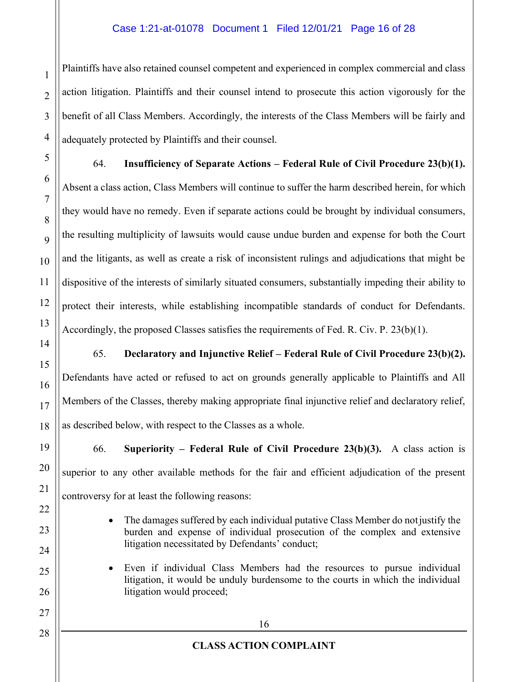#### Case 1:21-at-01078 Document 1 Filed 12/01/21 Page 16 of 28

Plaintiffs have also retained counsel competent and experienced in complex commercial and class action litigation. Plaintiffs and their counsel intend to prosecute this action vigorously for the benefit of all Class Members. Accordingly, the interests of the Class Members will be fairly and adequately protected by Plaintiffs and their counsel.

64. **Insufficiency of Separate Actions ± Federal Rule of Civil Procedure 23(b)(1).** Absent a class action, Class Members will continue to suffer the harm described herein, for which they would have no remedy. Even if separate actions could be brought by individual consumers, the resulting multiplicity of lawsuits would cause undue burden and expense for both the Court and the litigants, as well as create a risk of inconsistent rulings and adjudications that might be dispositive of the interests of similarly situated consumers, substantially impeding their ability to protect their interests, while establishing incompatible standards of conduct for Defendants. Accordingly, the proposed Classes satisfies the requirements of Fed. R. Civ. P. 23(b)(1).

65. **Declaratory and Injunctive Relief ± Federal Rule of Civil Procedure 23(b)(2).** Defendants have acted or refused to act on grounds generally applicable to Plaintiffs and All Members of the Classes, thereby making appropriate final injunctive relief and declaratory relief, as described below, with respect to the Classes as a whole.

66. **Superiority ± Federal Rule of Civil Procedure 23(b)(3).** A class action is superior to any other available methods for the fair and efficient adjudication of the present controversy for at least the following reasons:

- The damages suffered by each individual putative Class Member do not justify the burden and expense of individual prosecution of the complex and extensive litigation necessitated by Defendants' conduct;
- Even if individual Class Members had the resources to pursue individual litigation, it would be unduly burdensome to the courts in which the individual litigation would proceed;

1

2

3

4

5

6

7

8

9

10

11

12

13

14

15

16

17

18

19

20

21

22

23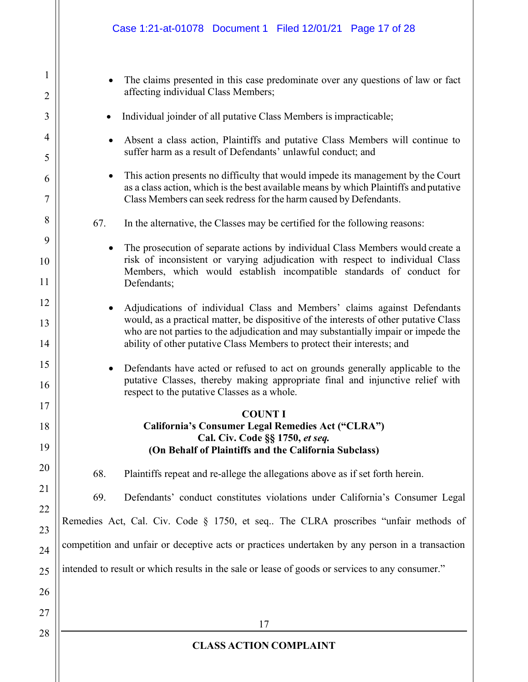- The claims presented in this case predominate over any questions of law or fact affecting individual Class Members;
- Individual joinder of all putative Class Members is impracticable;

1

2

3

4

5

6

7

8

9

10

11

12

13

14

15

16

17

18

19

20

21

22

23

24

25

26

27

28

- Absent a class action, Plaintiffs and putative Class Members will continue to suffer harm as a result of Defendants' unlawful conduct; and
- This action presents no difficulty that would impede its management by the Court as a class action, which is the best available means by which Plaintiffs and putative Class Members can seek redress for the harm caused by Defendants.
- 67. In the alternative, the Classes may be certified for the following reasons:
	- The prosecution of separate actions by individual Class Members would create a risk of inconsistent or varying adjudication with respect to individual Class Members, which would establish incompatible standards of conduct for Defendants;
	- Adjudications of individual Class and Members' claims against Defendants would, as a practical matter, be dispositive of the interests of other putative Class who are not parties to the adjudication and may substantially impair or impede the ability of other putative Class Members to protect their interests; and
	- Defendants have acted or refused to act on grounds generally applicable to the putative Classes, thereby making appropriate final and injunctive relief with respect to the putative Classes as a whole.

#### **COUNT I California's Consumer Legal Remedies Act ("CLRA") Cal. Civ. Code §§ 1750,** *et seq.* **(On Behalf of Plaintiffs and the California Subclass)**

68. Plaintiffs repeat and re-allege the allegations above as if set forth herein.

69. Defendants' conduct constitutes violations under California's Consumer Legal

Remedies Act, Cal. Civ. Code  $\S$  1750, et seq.. The CLRA proscribes "unfair methods of

competition and unfair or deceptive acts or practices undertaken by any person in a transaction

intended to result or which results in the sale or lease of goods or services to any consumer."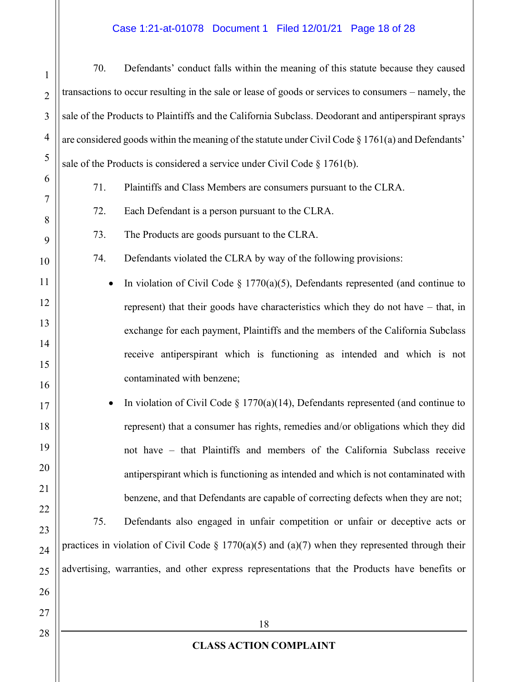# Case 1:21-at-01078 Document 1 Filed 12/01/21 Page 18 of 28

| $\mathbf{1}$   | 70. | Defendants' conduct falls within the meaning of this statute because they caused                      |
|----------------|-----|-------------------------------------------------------------------------------------------------------|
| $\overline{2}$ |     | transactions to occur resulting in the sale or lease of goods or services to consumers – namely, the  |
| 3              |     | sale of the Products to Plaintiffs and the California Subclass. Deodorant and antiperspirant sprays   |
| $\overline{4}$ |     | are considered goods within the meaning of the statute under Civil Code § 1761(a) and Defendants'     |
| 5              |     | sale of the Products is considered a service under Civil Code $\S 1761(b)$ .                          |
| 6              | 71. | Plaintiffs and Class Members are consumers pursuant to the CLRA.                                      |
| 7<br>8         | 72. | Each Defendant is a person pursuant to the CLRA.                                                      |
| 9              | 73. | The Products are goods pursuant to the CLRA.                                                          |
| 10             | 74. | Defendants violated the CLRA by way of the following provisions:                                      |
| 11             |     | In violation of Civil Code $\S$ 1770(a)(5), Defendants represented (and continue to                   |
| 12             |     | represent) that their goods have characteristics which they do not have - that, in                    |
| 13             |     | exchange for each payment, Plaintiffs and the members of the California Subclass                      |
| 14             |     | receive antiperspirant which is functioning as intended and which is not                              |
| 15<br>16       |     | contaminated with benzene;                                                                            |
| 17             |     | In violation of Civil Code $\S 1770(a)(14)$ , Defendants represented (and continue to                 |
| 18             |     | represent) that a consumer has rights, remedies and/or obligations which they did                     |
| 19             |     | not have – that Plaintiffs and members of the California Subclass receive                             |
| 20             |     | antiperspirant which is functioning as intended and which is not contaminated with                    |
| 21             |     | benzene, and that Defendants are capable of correcting defects when they are not;                     |
| 22<br>23       | 75. | Defendants also engaged in unfair competition or unfair or deceptive acts or                          |
| 24             |     | practices in violation of Civil Code $\S 1770(a)(5)$ and $(a)(7)$ when they represented through their |
| 25             |     | advertising, warranties, and other express representations that the Products have benefits or         |
| 26             |     |                                                                                                       |
| 27             |     | 18                                                                                                    |
| 28             |     | <b>CLASS ACTION COMPLAINT</b>                                                                         |
|                |     |                                                                                                       |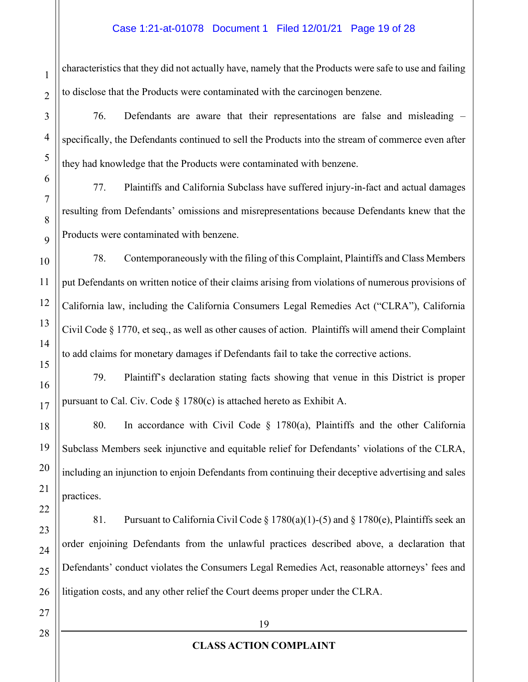#### Case 1:21-at-01078 Document 1 Filed 12/01/21 Page 19 of 28

characteristics that they did not actually have, namely that the Products were safe to use and failing to disclose that the Products were contaminated with the carcinogen benzene.

76. Defendants are aware that their representations are false and misleading  $$ specifically, the Defendants continued to sell the Products into the stream of commerce even after they had knowledge that the Products were contaminated with benzene.

77. Plaintiffs and California Subclass have suffered injury-in-fact and actual damages resulting from Defendants' omissions and misrepresentations because Defendants knew that the Products were contaminated with benzene.

78. Contemporaneously with the filing of this Complaint, Plaintiffs and Class Members put Defendants on written notice of their claims arising from violations of numerous provisions of California law, including the California Consumers Legal Remedies Act ("CLRA"), California Civil Code § 1770, et seq., as well as other causes of action. Plaintiffs will amend their Complaint to add claims for monetary damages if Defendants fail to take the corrective actions.

79. Plaintiff's declaration stating facts showing that venue in this District is proper pursuant to Cal. Civ. Code  $\S 1780(c)$  is attached hereto as Exhibit A.

80. In accordance with Civil Code  $\S$  1780(a), Plaintiffs and the other California Subclass Members seek injunctive and equitable relief for Defendants' violations of the CLRA, including an injunction to enjoin Defendants from continuing their deceptive advertising and sales practices.

81. Pursuant to California Civil Code § 1780(a)(1)-(5) and § 1780(e), Plaintiffs seek an order enjoining Defendants from the unlawful practices described above, a declaration that Defendants' conduct violates the Consumers Legal Remedies Act, reasonable attorneys' fees and litigation costs, and any other relief the Court deems proper under the CLRA.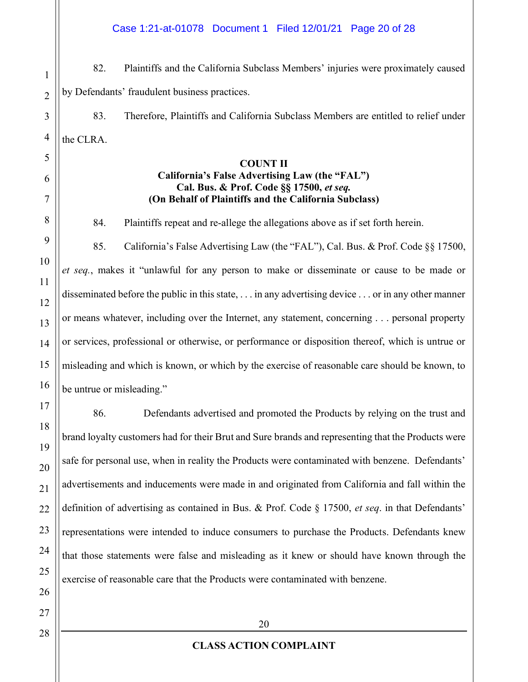#### Case 1:21-at-01078 Document 1 Filed 12/01/21 Page 20 of 28

82. Plaintiffs and the California Subclass Members' injuries were proximately caused by Defendants' fraudulent business practices.

83. Therefore, Plaintiffs and California Subclass Members are entitled to relief under the CLRA.

#### **COUNT II**

#### **California's False Advertising Law (the "FAL") Cal. Bus. & Prof. Code §§ 17500,** *et seq.* **(On Behalf of Plaintiffs and the California Subclass)**

84. Plaintiffs repeat and re-allege the allegations above as if set forth herein.

85. California's False Advertising Law (the "FAL"), Cal. Bus. & Prof. Code  $\S$ § 17500, *et seq.*, makes it "unlawful for any person to make or disseminate or cause to be made or disseminated before the public in this state, . . . in any advertising device . . . or in any other manner or means whatever, including over the Internet, any statement, concerning . . . personal property or services, professional or otherwise, or performance or disposition thereof, which is untrue or misleading and which is known, or which by the exercise of reasonable care should be known, to be untrue or misleading."

86. Defendants advertised and promoted the Products by relying on the trust and brand loyalty customers had for their Brut and Sure brands and representing that the Products were safe for personal use, when in reality the Products were contaminated with benzene. Defendants' advertisements and inducements were made in and originated from California and fall within the definition of advertising as contained in Bus. & Prof. Code  $\S$  17500, *et seq.* in that Defendants' representations were intended to induce consumers to purchase the Products. Defendants knew that those statements were false and misleading as it knew or should have known through the exercise of reasonable care that the Products were contaminated with benzene.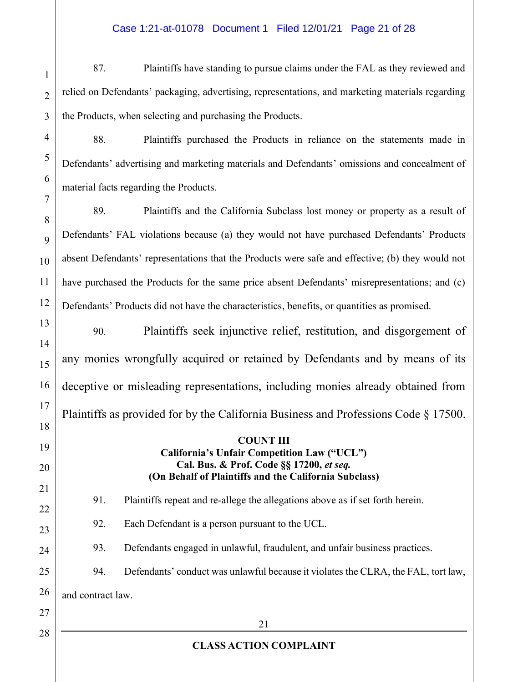87. Plaintiffs have standing to pursue claims under the FAL as they reviewed and relied on Defendants' packaging, advertising, representations, and marketing materials regarding the Products, when selecting and purchasing the Products.

88. Plaintiffs purchased the Products in reliance on the statements made in Defendants' advertising and marketing materials and Defendants' omissions and concealment of material facts regarding the Products.

89. Plaintiffs and the California Subclass lost money or property as a result of Defendants' FAL violations because (a) they would not have purchased Defendants' Products absent Defendants' representations that the Products were safe and effective; (b) they would not have purchased the Products for the same price absent Defendants' misrepresentations; and (c) Defendants' Products did not have the characteristics, benefits, or quantities as promised.

90. Plaintiffs seek injunctive relief, restitution, and disgorgement of any monies wrongfully acquired or retained by Defendants and by means of its deceptive or misleading representations, including monies already obtained from Plaintiffs as provided for by the California Business and Professions Code § 17500.

#### **COUNT III California's Unfair Competition Law ("UCL") Cal. Bus. & Prof. Code §§ 17200,** *et seq.* **(On Behalf of Plaintiffs and the California Subclass)**

91. Plaintiffs repeat and re-allege the allegations above as if set forth herein.

92. Each Defendant is a person pursuant to the UCL.

93. Defendants engaged in unlawful, fraudulent, and unfair business practices.

# 94. Defendants' conduct was unlawful because it violates the CLRA, the FAL, tort law,

and contract law.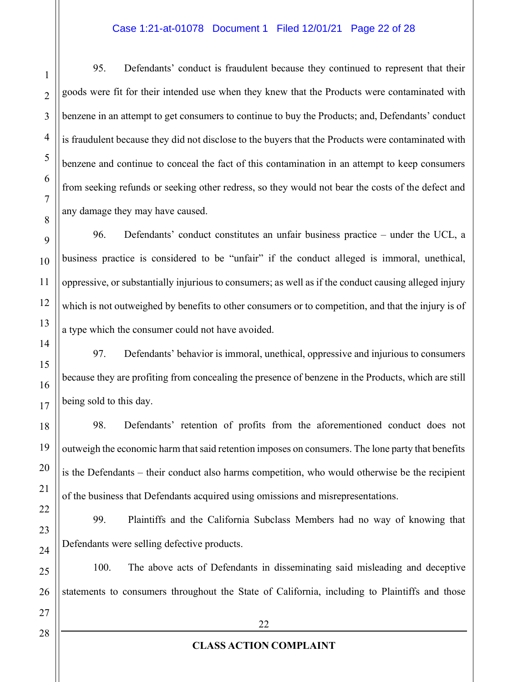#### Case 1:21-at-01078 Document 1 Filed 12/01/21 Page 22 of 28

95. Defendants' conduct is fraudulent because they continued to represent that their goods were fit for their intended use when they knew that the Products were contaminated with benzene in an attempt to get consumers to continue to buy the Products; and, Defendants' conduct is fraudulent because they did not disclose to the buyers that the Products were contaminated with benzene and continue to conceal the fact of this contamination in an attempt to keep consumers from seeking refunds or seeking other redress, so they would not bear the costs of the defect and any damage they may have caused.

96. Defendants' conduct constitutes an unfair business practice  $-\,$  under the UCL, a business practice is considered to be "unfair" if the conduct alleged is immoral, unethical, oppressive, or substantially injurious to consumers; as well as if the conduct causing alleged injury which is not outweighed by benefits to other consumers or to competition, and that the injury is of a type which the consumer could not have avoided.

97. Defendants' behavior is immoral, unethical, oppressive and injurious to consumers because they are profiting from concealing the presence of benzene in the Products, which are still being sold to this day.

98. Defendants' retention of profits from the aforementioned conduct does not outweigh the economic harm that said retention imposes on consumers. The lone party that benefits is the Defendants – their conduct also harms competition, who would otherwise be the recipient of the business that Defendants acquired using omissions and misrepresentations.

99. Plaintiffs and the California Subclass Members had no way of knowing that Defendants were selling defective products.

100. The above acts of Defendants in disseminating said misleading and deceptive statements to consumers throughout the State of California, including to Plaintiffs and those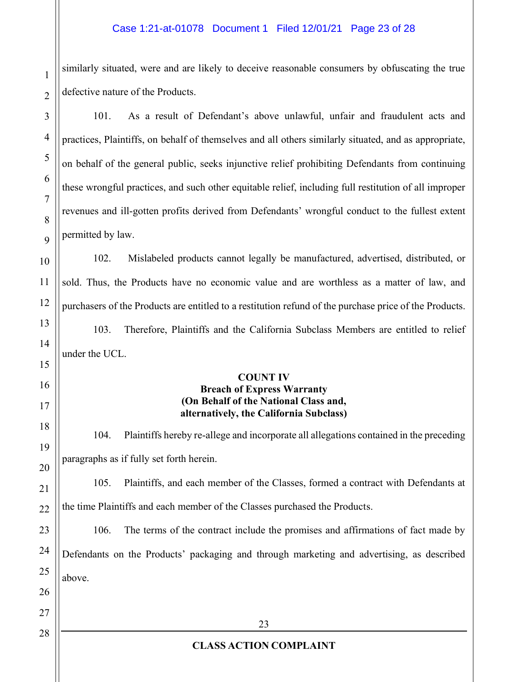#### Case 1:21-at-01078 Document 1 Filed 12/01/21 Page 23 of 28

similarly situated, were and are likely to deceive reasonable consumers by obfuscating the true defective nature of the Products.

101. As a result of Defendant's above unlawful, unfair and fraudulent acts and practices, Plaintiffs, on behalf of themselves and all others similarly situated, and as appropriate, on behalf of the general public, seeks injunctive relief prohibiting Defendants from continuing these wrongful practices, and such other equitable relief, including full restitution of all improper revenues and ill-gotten profits derived from Defendants' wrongful conduct to the fullest extent permitted by law.

102. Mislabeled products cannot legally be manufactured, advertised, distributed, or sold. Thus, the Products have no economic value and are worthless as a matter of law, and purchasers of the Products are entitled to a restitution refund of the purchase price of the Products.

103. Therefore, Plaintiffs and the California Subclass Members are entitled to relief under the UCL.

# **COUNT IV**

#### **Breach of Express Warranty (On Behalf of the National Class and, alternatively, the California Subclass)**

104. Plaintiffs hereby re-allege and incorporate all allegations contained in the preceding paragraphs as if fully set forth herein.

105. Plaintiffs, and each member of the Classes, formed a contract with Defendants at the time Plaintiffs and each member of the Classes purchased the Products.

106. The terms of the contract include the promises and affirmations of fact made by Defendants on the Products' packaging and through marketing and advertising, as described above.

1

2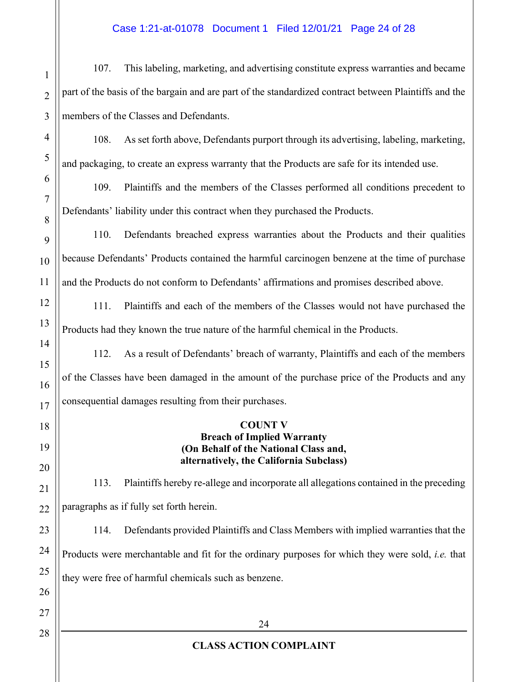#### Case 1:21-at-01078 Document 1 Filed 12/01/21 Page 24 of 28

107. This labeling, marketing, and advertising constitute express warranties and became part of the basis of the bargain and are part of the standardized contract between Plaintiffs and the members of the Classes and Defendants.

108. As set forth above, Defendants purport through its advertising, labeling, marketing, and packaging, to create an express warranty that the Products are safe for its intended use.

109. Plaintiffs and the members of the Classes performed all conditions precedent to Defendants' liability under this contract when they purchased the Products.

110. Defendants breached express warranties about the Products and their qualities because Defendants' Products contained the harmful carcinogen benzene at the time of purchase and the Products do not conform to Defendants' affirmations and promises described above.

111. Plaintiffs and each of the members of the Classes would not have purchased the Products had they known the true nature of the harmful chemical in the Products.

112. As a result of Defendants' breach of warranty, Plaintiffs and each of the members of the Classes have been damaged in the amount of the purchase price of the Products and any consequential damages resulting from their purchases.

#### **COUNT V Breach of Implied Warranty (On Behalf of the National Class and, alternatively, the California Subclass)**

113. Plaintiffs hereby re-allege and incorporate all allegations contained in the preceding paragraphs as if fully set forth herein.

114. Defendants provided Plaintiffs and Class Members with implied warranties that the Products were merchantable and fit for the ordinary purposes for which they were sold, *i.e.* that they were free of harmful chemicals such as benzene.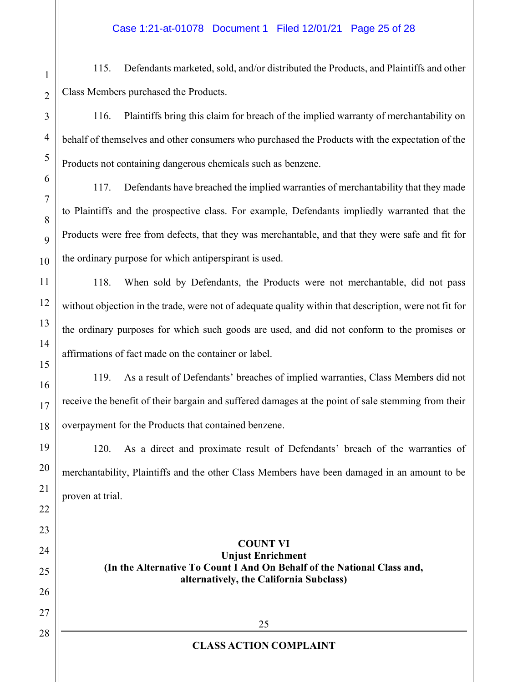115. Defendants marketed, sold, and/or distributed the Products, and Plaintiffs and other Class Members purchased the Products.

116. Plaintiffs bring this claim for breach of the implied warranty of merchantability on behalf of themselves and other consumers who purchased the Products with the expectation of the Products not containing dangerous chemicals such as benzene.

117. Defendants have breached the implied warranties of merchantability that they made to Plaintiffs and the prospective class. For example, Defendants impliedly warranted that the Products were free from defects, that they was merchantable, and that they were safe and fit for the ordinary purpose for which antiperspirant is used.

118. When sold by Defendants, the Products were not merchantable, did not pass without objection in the trade, were not of adequate quality within that description, were not fit for the ordinary purposes for which such goods are used, and did not conform to the promises or affirmations of fact made on the container or label.

119. As a result of Defendants' breaches of implied warranties, Class Members did not receive the benefit of their bargain and suffered damages at the point of sale stemming from their overpayment for the Products that contained benzene.

120. As a direct and proximate result of Defendants' breach of the warranties of merchantability, Plaintiffs and the other Class Members have been damaged in an amount to be proven at trial.

> **COUNT VI Unjust Enrichment (In the Alternative To Count I And On Behalf of the National Class and, alternatively, the California Subclass)**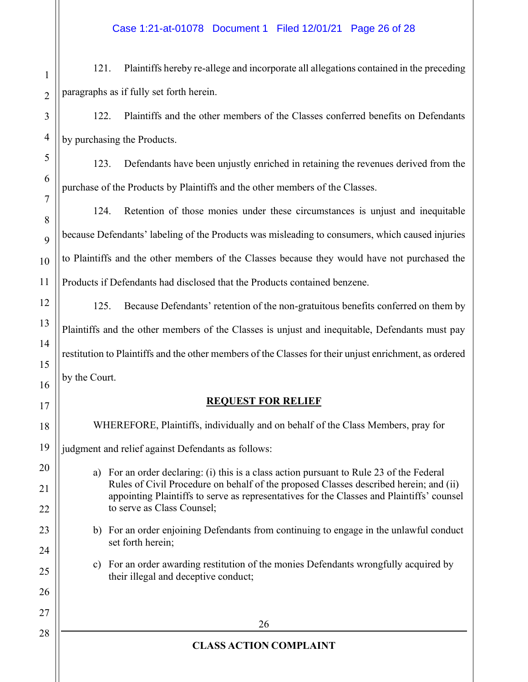121. Plaintiffs hereby re-allege and incorporate all allegations contained in the preceding paragraphs as if fully set forth herein.

122. Plaintiffs and the other members of the Classes conferred benefits on Defendants by purchasing the Products.

123. Defendants have been unjustly enriched in retaining the revenues derived from the purchase of the Products by Plaintiffs and the other members of the Classes.

124. Retention of those monies under these circumstances is unjust and inequitable because Defendants' labeling of the Products was misleading to consumers, which caused injuries to Plaintiffs and the other members of the Classes because they would have not purchased the Products if Defendants had disclosed that the Products contained benzene.

125. Because Defendants' retention of the non-gratuitous benefits conferred on them by Plaintiffs and the other members of the Classes is unjust and inequitable, Defendants must pay restitution to Plaintiffs and the other members of the Classes for their unjust enrichment, as ordered by the Court.

## **REQUEST FOR RELIEF**

WHEREFORE, Plaintiffs, individually and on behalf of the Class Members, pray for

judgment and relief against Defendants as follows:

- a) For an order declaring: (i) this is a class action pursuant to Rule 23 of the Federal Rules of Civil Procedure on behalf of the proposed Classes described herein; and (ii) appointing Plaintiffs to serve as representatives for the Classes and Plaintiffs' counsel to serve as Class Counsel;
- b) For an order enjoining Defendants from continuing to engage in the unlawful conduct set forth herein;
- c) For an order awarding restitution of the monies Defendants wrongfully acquired by their illegal and deceptive conduct;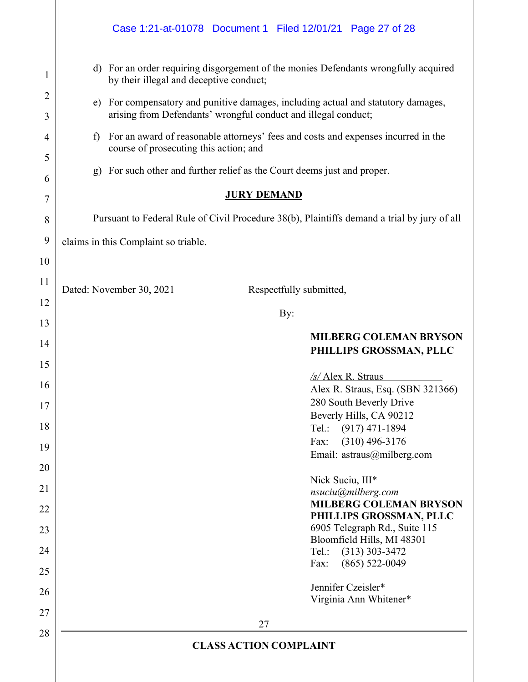|                     | Case 1:21-at-01078 Document 1 Filed 12/01/21 Page 27 of 28                                                                                             |  |
|---------------------|--------------------------------------------------------------------------------------------------------------------------------------------------------|--|
| 1                   | d) For an order requiring disgorgement of the monies Defendants wrongfully acquired<br>by their illegal and deceptive conduct;                         |  |
| 2<br>3              | For compensatory and punitive damages, including actual and statutory damages,<br>e)<br>arising from Defendants' wrongful conduct and illegal conduct; |  |
| $\overline{4}$<br>5 | For an award of reasonable attorneys' fees and costs and expenses incurred in the<br>f<br>course of prosecuting this action; and                       |  |
| 6                   | For such other and further relief as the Court deems just and proper.<br>g)                                                                            |  |
| 7                   | <b>JURY DEMAND</b>                                                                                                                                     |  |
| 8                   | Pursuant to Federal Rule of Civil Procedure 38(b), Plaintiffs demand a trial by jury of all                                                            |  |
| 9                   | claims in this Complaint so triable.                                                                                                                   |  |
| 10                  |                                                                                                                                                        |  |
| 11                  | Dated: November 30, 2021<br>Respectfully submitted,                                                                                                    |  |
| 12                  | By:                                                                                                                                                    |  |
| 13                  |                                                                                                                                                        |  |
| 14                  | <b>MILBERG COLEMAN BRYSON</b><br>PHILLIPS GROSSMAN, PLLC                                                                                               |  |
| 15                  | $/s/$ Alex R. Straus                                                                                                                                   |  |
| 16                  |                                                                                                                                                        |  |
|                     | Alex R. Straus, Esq. (SBN 321366)                                                                                                                      |  |
| 17                  | 280 South Beverly Drive                                                                                                                                |  |
| 18                  | Beverly Hills, CA 90212<br>Tel.: (917) 471-1894                                                                                                        |  |
| 19                  | $(310)$ 496-3176<br>Fax:                                                                                                                               |  |
| 20                  | Email: astraus@milberg.com                                                                                                                             |  |
| 21                  | Nick Suciu, III*<br>nsuciu@milberg.com                                                                                                                 |  |
| 22                  | <b>MILBERG COLEMAN BRYSON</b>                                                                                                                          |  |
| 23                  | PHILLIPS GROSSMAN, PLLC<br>6905 Telegraph Rd., Suite 115                                                                                               |  |
| 24                  | Bloomfield Hills, MI 48301<br>Tel.:                                                                                                                    |  |
| 25                  | $(313)$ 303-3472<br>$(865) 522 - 0049$<br>Fax:                                                                                                         |  |
| 26                  | Jennifer Czeisler*                                                                                                                                     |  |
|                     | Virginia Ann Whitener*                                                                                                                                 |  |
| 27<br>28            | 27                                                                                                                                                     |  |

 $\parallel$